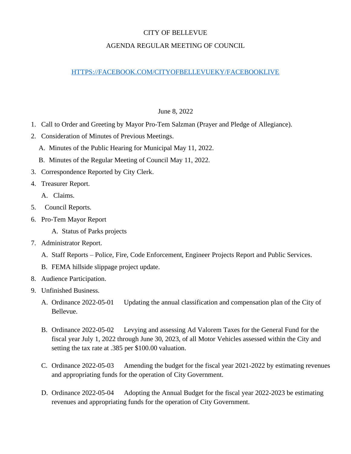## CITY OF BELLEVUE

## AGENDA REGULAR MEETING OF COUNCIL

## [HTTPS://FACEBOOK.COM/CITYOFBELLEVUEKY/FACEBOOKLIVE](https://facebook.com/CITYOFBELLEVUEKY/FACEBOOKLIVE)

## June 8, 2022

- 1. Call to Order and Greeting by Mayor Pro-Tem Salzman (Prayer and Pledge of Allegiance).
- 2. Consideration of Minutes of Previous Meetings.
	- A. Minutes of the Public Hearing for Municipal May 11, 2022.
	- B. Minutes of the Regular Meeting of Council May 11, 2022.
- 3. Correspondence Reported by City Clerk.
- 4. Treasurer Report.
	- A. Claims.
- 5. Council Reports.
- 6. Pro-Tem Mayor Report
	- A. Status of Parks projects
- 7. Administrator Report.
	- A. Staff Reports Police, Fire, Code Enforcement, Engineer Projects Report and Public Services.
	- B. FEMA hillside slippage project update.
- 8. Audience Participation.
- 9. Unfinished Business.
	- A. Ordinance 2022-05-01 Updating the annual classification and compensation plan of the City of Bellevue.
	- B. Ordinance 2022-05-02 Levying and assessing Ad Valorem Taxes for the General Fund for the fiscal year July 1, 2022 through June 30, 2023, of all Motor Vehicles assessed within the City and setting the tax rate at .385 per \$100.00 valuation.
	- C. Ordinance 2022-05-03 Amending the budget for the fiscal year 2021-2022 by estimating revenues and appropriating funds for the operation of City Government.
	- D. Ordinance 2022-05-04 Adopting the Annual Budget for the fiscal year 2022-2023 be estimating revenues and appropriating funds for the operation of City Government.